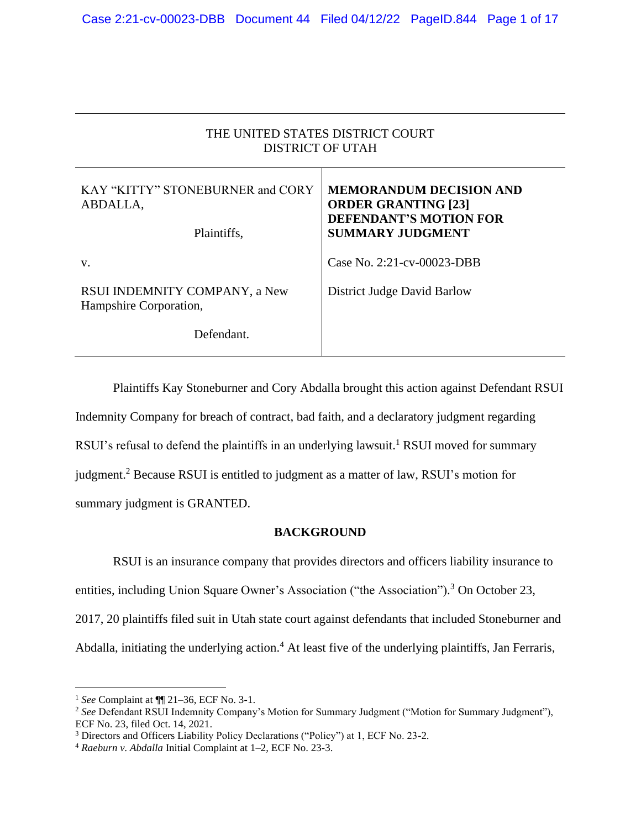| THE UNITED STATES DISTRICT COURT<br><b>DISTRICT OF UTAH</b> |                                                                                                                          |
|-------------------------------------------------------------|--------------------------------------------------------------------------------------------------------------------------|
| KAY "KITTY" STONEBURNER and CORY<br>ABDALLA,<br>Plaintiffs, | <b>MEMORANDUM DECISION AND</b><br><b>ORDER GRANTING [23]</b><br><b>DEFENDANT'S MOTION FOR</b><br><b>SUMMARY JUDGMENT</b> |
| V.                                                          | Case No. $2:21$ -cv-00023-DBB                                                                                            |
| RSUI INDEMNITY COMPANY, a New<br>Hampshire Corporation,     | District Judge David Barlow                                                                                              |
| Defendant.                                                  |                                                                                                                          |

Plaintiffs Kay Stoneburner and Cory Abdalla brought this action against Defendant RSUI Indemnity Company for breach of contract, bad faith, and a declaratory judgment regarding RSUI's refusal to defend the plaintiffs in an underlying lawsuit.<sup>1</sup> RSUI moved for summary judgment.<sup>2</sup> Because RSUI is entitled to judgment as a matter of law, RSUI's motion for summary judgment is GRANTED.

## **BACKGROUND**

RSUI is an insurance company that provides directors and officers liability insurance to entities, including Union Square Owner's Association ("the Association").<sup>3</sup> On October 23, 2017, 20 plaintiffs filed suit in Utah state court against defendants that included Stoneburner and Abdalla, initiating the underlying action. <sup>4</sup> At least five of the underlying plaintiffs, Jan Ferraris,

<sup>1</sup> *See* Complaint at ¶¶ 21–36, ECF No. 3-1.

<sup>&</sup>lt;sup>2</sup> See Defendant RSUI Indemnity Company's Motion for Summary Judgment ("Motion for Summary Judgment"), ECF No. 23, filed Oct. 14, 2021.

<sup>3</sup> Directors and Officers Liability Policy Declarations ("Policy") at 1, ECF No. 23-2.

<sup>4</sup> *Raeburn v. Abdalla* Initial Complaint at 1–2, ECF No. 23-3.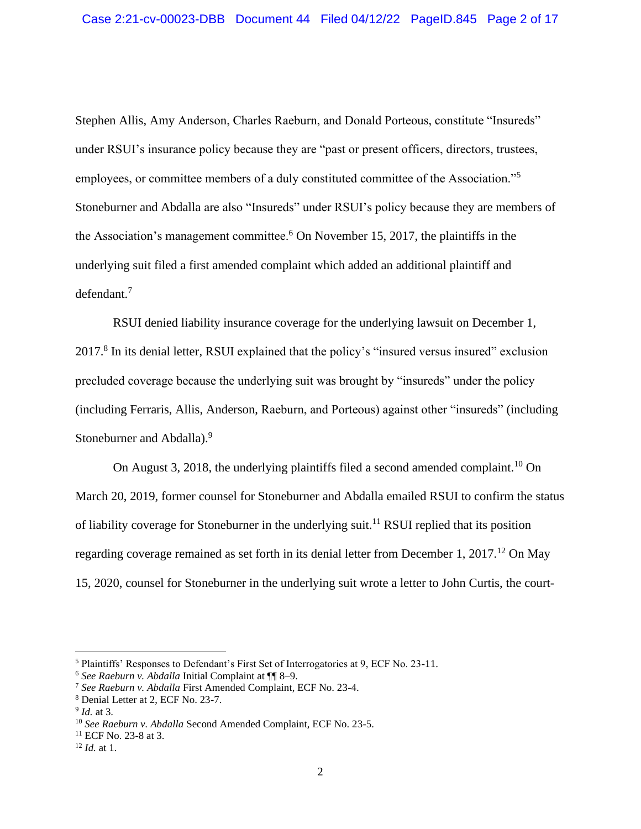Stephen Allis, Amy Anderson, Charles Raeburn, and Donald Porteous, constitute "Insureds" under RSUI's insurance policy because they are "past or present officers, directors, trustees, employees, or committee members of a duly constituted committee of the Association."<sup>5</sup> Stoneburner and Abdalla are also "Insureds" under RSUI's policy because they are members of the Association's management committee.<sup>6</sup> On November 15, 2017, the plaintiffs in the underlying suit filed a first amended complaint which added an additional plaintiff and defendant.<sup>7</sup>

RSUI denied liability insurance coverage for the underlying lawsuit on December 1, 2017.<sup>8</sup> In its denial letter, RSUI explained that the policy's "insured versus insured" exclusion precluded coverage because the underlying suit was brought by "insureds" under the policy (including Ferraris, Allis, Anderson, Raeburn, and Porteous) against other "insureds" (including Stoneburner and Abdalla).<sup>9</sup>

On August 3, 2018, the underlying plaintiffs filed a second amended complaint.<sup>10</sup> On March 20, 2019, former counsel for Stoneburner and Abdalla emailed RSUI to confirm the status of liability coverage for Stoneburner in the underlying suit.<sup>11</sup> RSUI replied that its position regarding coverage remained as set forth in its denial letter from December 1, 2017.<sup>12</sup> On May 15, 2020, counsel for Stoneburner in the underlying suit wrote a letter to John Curtis, the court-

<sup>5</sup> Plaintiffs' Responses to Defendant's First Set of Interrogatories at 9, ECF No. 23-11.

<sup>6</sup> *See Raeburn v. Abdalla* Initial Complaint at ¶¶ 8–9.

<sup>7</sup> *See Raeburn v. Abdalla* First Amended Complaint, ECF No. 23-4.

<sup>8</sup> Denial Letter at 2, ECF No. 23-7.

<sup>9</sup> *Id.* at 3.

<sup>10</sup> *See Raeburn v. Abdalla* Second Amended Complaint, ECF No. 23-5.

<sup>11</sup> ECF No. 23-8 at 3.

<sup>12</sup> *Id.* at 1.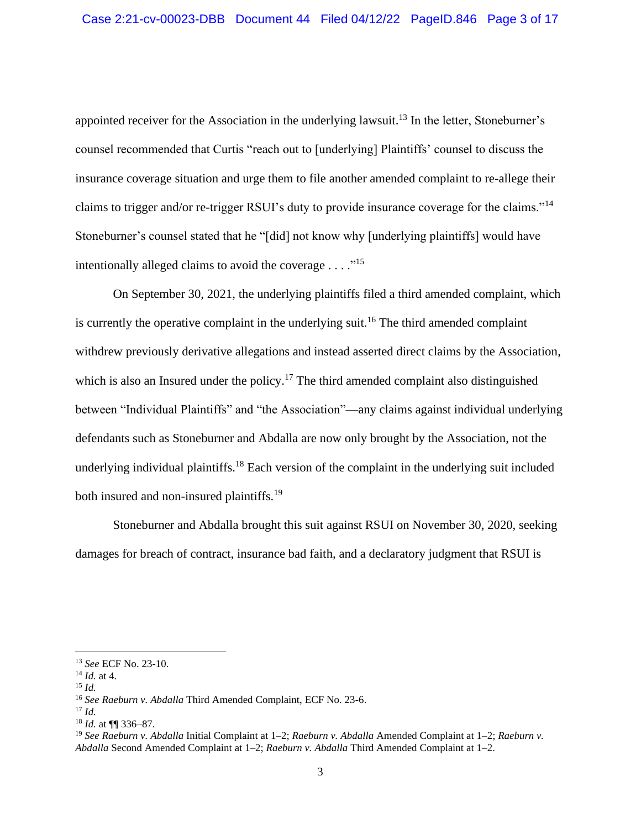appointed receiver for the Association in the underlying lawsuit.<sup>13</sup> In the letter, Stoneburner's counsel recommended that Curtis "reach out to [underlying] Plaintiffs' counsel to discuss the insurance coverage situation and urge them to file another amended complaint to re-allege their claims to trigger and/or re-trigger RSUI's duty to provide insurance coverage for the claims."<sup>14</sup> Stoneburner's counsel stated that he "[did] not know why [underlying plaintiffs] would have intentionally alleged claims to avoid the coverage  $\dots$ ."<sup>15</sup>

On September 30, 2021, the underlying plaintiffs filed a third amended complaint, which is currently the operative complaint in the underlying suit.<sup>16</sup> The third amended complaint withdrew previously derivative allegations and instead asserted direct claims by the Association, which is also an Insured under the policy.<sup>17</sup> The third amended complaint also distinguished between "Individual Plaintiffs" and "the Association"—any claims against individual underlying defendants such as Stoneburner and Abdalla are now only brought by the Association, not the underlying individual plaintiffs.<sup>18</sup> Each version of the complaint in the underlying suit included both insured and non-insured plaintiffs.<sup>19</sup>

Stoneburner and Abdalla brought this suit against RSUI on November 30, 2020, seeking damages for breach of contract, insurance bad faith, and a declaratory judgment that RSUI is

<sup>15</sup> *Id.*

<sup>13</sup> *See* ECF No. 23-10.

 $^{14}$  *Id.* at 4.

<sup>16</sup> *See Raeburn v. Abdalla* Third Amended Complaint, ECF No. 23-6.

<sup>17</sup> *Id.*

<sup>18</sup> *Id.* at ¶¶ 336–87.

<sup>19</sup> *See Raeburn v. Abdalla* Initial Complaint at 1–2; *Raeburn v. Abdalla* Amended Complaint at 1–2; *Raeburn v. Abdalla* Second Amended Complaint at 1–2; *Raeburn v. Abdalla* Third Amended Complaint at 1–2.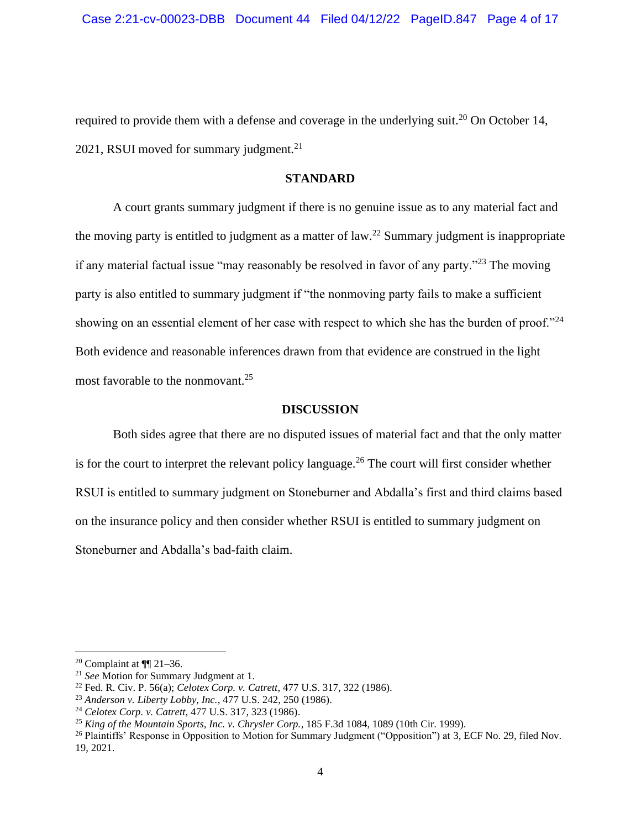required to provide them with a defense and coverage in the underlying suit.<sup>20</sup> On October 14, 2021, RSUI moved for summary judgment.<sup>21</sup>

#### **STANDARD**

A court grants summary judgment if there is no genuine issue as to any material fact and the moving party is entitled to judgment as a matter of law.<sup>22</sup> Summary judgment is inappropriate if any material factual issue "may reasonably be resolved in favor of any party."<sup>23</sup> The moving party is also entitled to summary judgment if "the nonmoving party fails to make a sufficient showing on an essential element of her case with respect to which she has the burden of proof."<sup>24</sup> Both evidence and reasonable inferences drawn from that evidence are construed in the light most favorable to the nonmovant.<sup>25</sup>

#### **DISCUSSION**

Both sides agree that there are no disputed issues of material fact and that the only matter is for the court to interpret the relevant policy language.<sup>26</sup> The court will first consider whether RSUI is entitled to summary judgment on Stoneburner and Abdalla's first and third claims based on the insurance policy and then consider whether RSUI is entitled to summary judgment on Stoneburner and Abdalla's bad-faith claim.

<sup>&</sup>lt;sup>20</sup> Complaint at  $\P$  21–36.

<sup>21</sup> *See* Motion for Summary Judgment at 1.

<sup>22</sup> Fed. R. Civ. P. 56(a); *Celotex Corp. v. Catrett*, 477 U.S. 317, 322 (1986).

<sup>23</sup> *Anderson v. Liberty Lobby, Inc.*, 477 U.S. 242, 250 (1986).

<sup>24</sup> *Celotex Corp. v. Catrett*, 477 U.S. 317, 323 (1986).

<sup>25</sup> *King of the Mountain Sports, Inc. v. Chrysler Corp.*, 185 F.3d 1084, 1089 (10th Cir. 1999).

<sup>&</sup>lt;sup>26</sup> Plaintiffs' Response in Opposition to Motion for Summary Judgment ("Opposition") at 3, ECF No. 29, filed Nov. 19, 2021.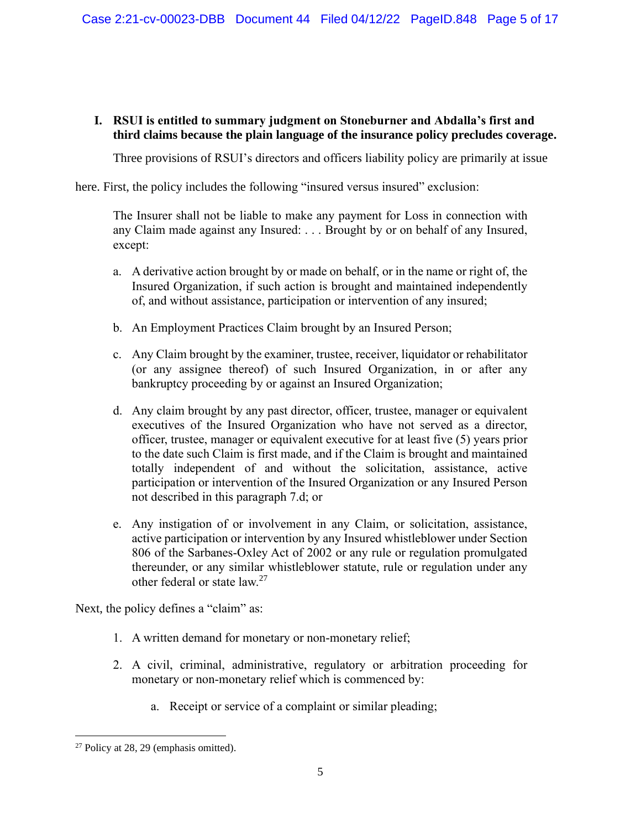## **I. RSUI is entitled to summary judgment on Stoneburner and Abdalla's first and third claims because the plain language of the insurance policy precludes coverage.**

Three provisions of RSUI's directors and officers liability policy are primarily at issue

here. First, the policy includes the following "insured versus insured" exclusion:

The Insurer shall not be liable to make any payment for Loss in connection with any Claim made against any Insured: . . . Brought by or on behalf of any Insured, except:

- a. A derivative action brought by or made on behalf, or in the name or right of, the Insured Organization, if such action is brought and maintained independently of, and without assistance, participation or intervention of any insured;
- b. An Employment Practices Claim brought by an Insured Person;
- c. Any Claim brought by the examiner, trustee, receiver, liquidator or rehabilitator (or any assignee thereof) of such Insured Organization, in or after any bankruptcy proceeding by or against an Insured Organization;
- d. Any claim brought by any past director, officer, trustee, manager or equivalent executives of the Insured Organization who have not served as a director, officer, trustee, manager or equivalent executive for at least five (5) years prior to the date such Claim is first made, and if the Claim is brought and maintained totally independent of and without the solicitation, assistance, active participation or intervention of the Insured Organization or any Insured Person not described in this paragraph 7.d; or
- e. Any instigation of or involvement in any Claim, or solicitation, assistance, active participation or intervention by any Insured whistleblower under Section 806 of the Sarbanes-Oxley Act of 2002 or any rule or regulation promulgated thereunder, or any similar whistleblower statute, rule or regulation under any other federal or state law.<sup>27</sup>

Next, the policy defines a "claim" as:

- 1. A written demand for monetary or non-monetary relief;
- 2. A civil, criminal, administrative, regulatory or arbitration proceeding for monetary or non-monetary relief which is commenced by:
	- a. Receipt or service of a complaint or similar pleading;

<sup>27</sup> Policy at 28, 29 (emphasis omitted).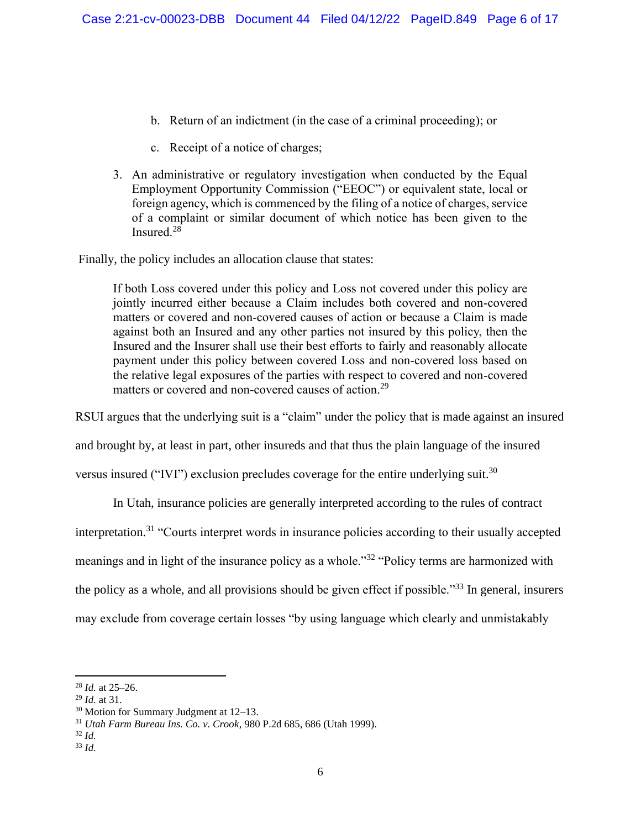- b. Return of an indictment (in the case of a criminal proceeding); or
- c. Receipt of a notice of charges;
- 3. An administrative or regulatory investigation when conducted by the Equal Employment Opportunity Commission ("EEOC") or equivalent state, local or foreign agency, which is commenced by the filing of a notice of charges, service of a complaint or similar document of which notice has been given to the Insured. 28

Finally, the policy includes an allocation clause that states:

If both Loss covered under this policy and Loss not covered under this policy are jointly incurred either because a Claim includes both covered and non-covered matters or covered and non-covered causes of action or because a Claim is made against both an Insured and any other parties not insured by this policy, then the Insured and the Insurer shall use their best efforts to fairly and reasonably allocate payment under this policy between covered Loss and non-covered loss based on the relative legal exposures of the parties with respect to covered and non-covered matters or covered and non-covered causes of action.<sup>29</sup>

RSUI argues that the underlying suit is a "claim" under the policy that is made against an insured

and brought by, at least in part, other insureds and that thus the plain language of the insured

versus insured ("IVI") exclusion precludes coverage for the entire underlying suit.<sup>30</sup>

In Utah, insurance policies are generally interpreted according to the rules of contract interpretation.<sup>31</sup> "Courts interpret words in insurance policies according to their usually accepted meanings and in light of the insurance policy as a whole."<sup>32</sup> "Policy terms are harmonized with the policy as a whole, and all provisions should be given effect if possible."<sup>33</sup> In general, insurers may exclude from coverage certain losses "by using language which clearly and unmistakably

<sup>28</sup> *Id.* at 25–26.

<sup>29</sup> *Id.* at 31.

<sup>30</sup> Motion for Summary Judgment at 12–13.

<sup>31</sup> *Utah Farm Bureau Ins. Co. v. Crook*, 980 P.2d 685, 686 (Utah 1999).

<sup>32</sup> *Id.*

<sup>33</sup> *Id.*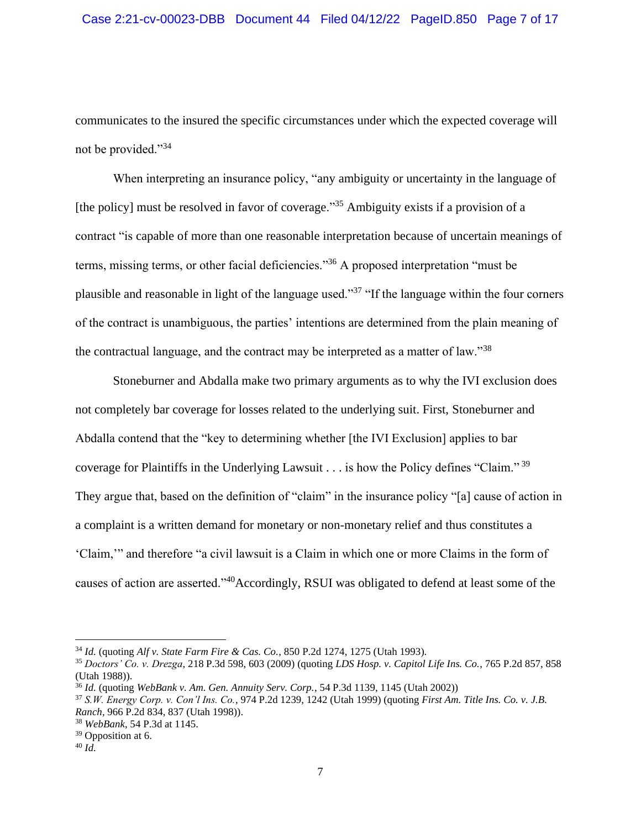communicates to the insured the specific circumstances under which the expected coverage will not be provided."<sup>34</sup>

When interpreting an insurance policy, "any ambiguity or uncertainty in the language of [the policy] must be resolved in favor of coverage."<sup>35</sup> Ambiguity exists if a provision of a contract "is capable of more than one reasonable interpretation because of uncertain meanings of terms, missing terms, or other facial deficiencies."<sup>36</sup> A proposed interpretation "must be plausible and reasonable in light of the language used."<sup>37</sup> "If the language within the four corners of the contract is unambiguous, the parties' intentions are determined from the plain meaning of the contractual language, and the contract may be interpreted as a matter of law."<sup>38</sup>

Stoneburner and Abdalla make two primary arguments as to why the IVI exclusion does not completely bar coverage for losses related to the underlying suit. First, Stoneburner and Abdalla contend that the "key to determining whether [the IVI Exclusion] applies to bar coverage for Plaintiffs in the Underlying Lawsuit . . . is how the Policy defines "Claim." <sup>39</sup> They argue that, based on the definition of "claim" in the insurance policy "[a] cause of action in a complaint is a written demand for monetary or non-monetary relief and thus constitutes a 'Claim,'" and therefore "a civil lawsuit is a Claim in which one or more Claims in the form of causes of action are asserted."<sup>40</sup>Accordingly, RSUI was obligated to defend at least some of the

<sup>34</sup> *Id.* (quoting *Alf v. State Farm Fire & Cas. Co.*, 850 P.2d 1274, 1275 (Utah 1993).

<sup>35</sup> *Doctors' Co. v. Drezga*, 218 P.3d 598, 603 (2009) (quoting *LDS Hosp. v. Capitol Life Ins. Co.*, 765 P.2d 857, 858 (Utah 1988)).

<sup>36</sup> *Id.* (quoting *WebBank v. Am. Gen. Annuity Serv. Corp.*, 54 P.3d 1139, 1145 (Utah 2002))

<sup>37</sup> *S.W. Energy Corp. v. Con'l Ins. Co.*, 974 P.2d 1239, 1242 (Utah 1999) (quoting *First Am. Title Ins. Co. v. J.B. Ranch*, 966 P.2d 834, 837 (Utah 1998)).

<sup>38</sup> *WebBank*, 54 P.3d at 1145.

<sup>&</sup>lt;sup>39</sup> Opposition at 6.

<sup>40</sup> *Id.*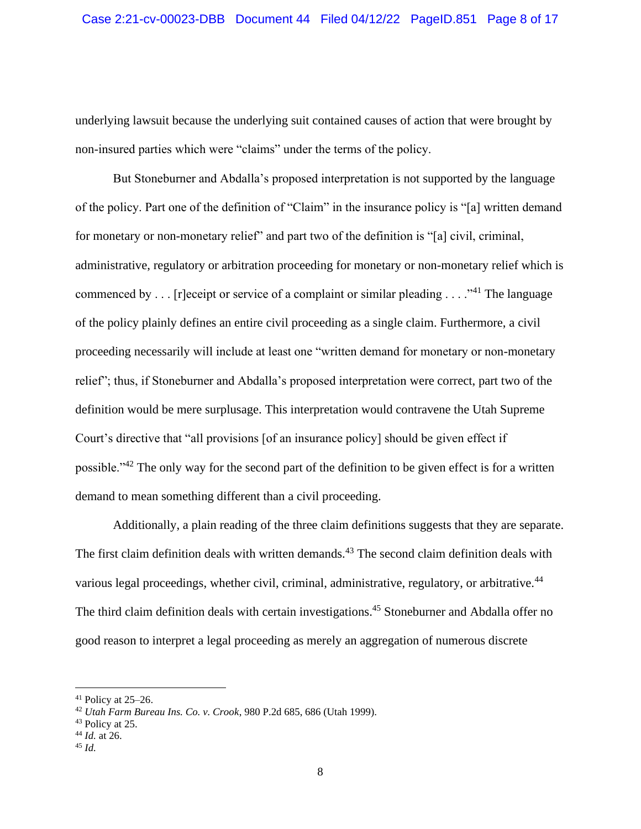underlying lawsuit because the underlying suit contained causes of action that were brought by non-insured parties which were "claims" under the terms of the policy.

But Stoneburner and Abdalla's proposed interpretation is not supported by the language of the policy. Part one of the definition of "Claim" in the insurance policy is "[a] written demand for monetary or non-monetary relief" and part two of the definition is "[a] civil, criminal, administrative, regulatory or arbitration proceeding for monetary or non-monetary relief which is commenced by  $\dots$  [r]eceipt or service of a complaint or similar pleading  $\dots$ ."<sup>41</sup> The language of the policy plainly defines an entire civil proceeding as a single claim. Furthermore, a civil proceeding necessarily will include at least one "written demand for monetary or non-monetary relief"; thus, if Stoneburner and Abdalla's proposed interpretation were correct, part two of the definition would be mere surplusage. This interpretation would contravene the Utah Supreme Court's directive that "all provisions [of an insurance policy] should be given effect if possible."<sup>42</sup> The only way for the second part of the definition to be given effect is for a written demand to mean something different than a civil proceeding.

Additionally, a plain reading of the three claim definitions suggests that they are separate. The first claim definition deals with written demands.<sup>43</sup> The second claim definition deals with various legal proceedings, whether civil, criminal, administrative, regulatory, or arbitrative.<sup>44</sup> The third claim definition deals with certain investigations.<sup>45</sup> Stoneburner and Abdalla offer no good reason to interpret a legal proceeding as merely an aggregation of numerous discrete

<sup>45</sup> *Id.*

 $41$  Policy at 25–26.

<sup>42</sup> *Utah Farm Bureau Ins. Co. v. Crook*, 980 P.2d 685, 686 (Utah 1999).

<sup>43</sup> Policy at 25.

<sup>44</sup> *Id.* at 26.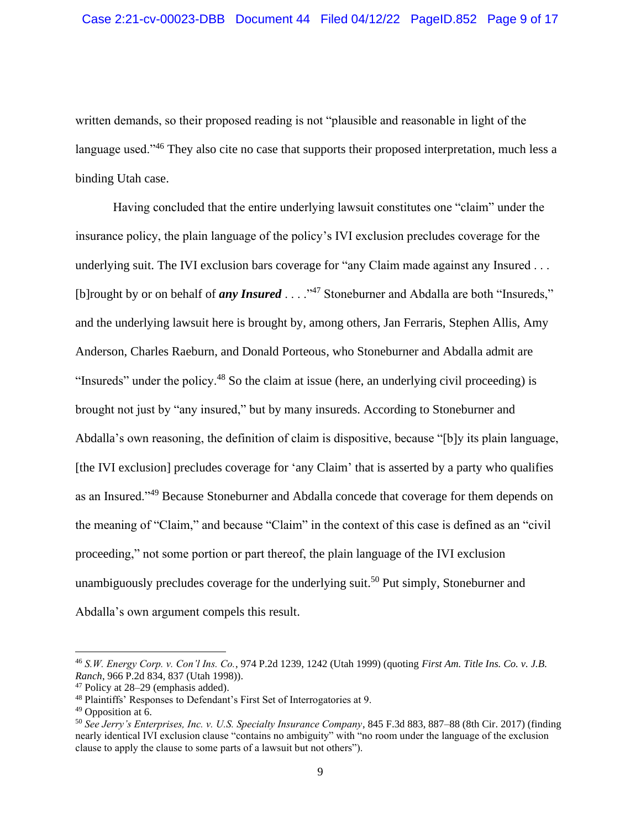written demands, so their proposed reading is not "plausible and reasonable in light of the language used."<sup>46</sup> They also cite no case that supports their proposed interpretation, much less a binding Utah case.

Having concluded that the entire underlying lawsuit constitutes one "claim" under the insurance policy, the plain language of the policy's IVI exclusion precludes coverage for the underlying suit. The IVI exclusion bars coverage for "any Claim made against any Insured . . . [b]rought by or on behalf of *any Insured* . . . .<sup>347</sup> Stoneburner and Abdalla are both "Insureds," and the underlying lawsuit here is brought by, among others, Jan Ferraris, Stephen Allis, Amy Anderson, Charles Raeburn, and Donald Porteous, who Stoneburner and Abdalla admit are "Insureds" under the policy.<sup>48</sup> So the claim at issue (here, an underlying civil proceeding) is brought not just by "any insured," but by many insureds. According to Stoneburner and Abdalla's own reasoning, the definition of claim is dispositive, because "[b]y its plain language, [the IVI exclusion] precludes coverage for 'any Claim' that is asserted by a party who qualifies as an Insured."<sup>49</sup> Because Stoneburner and Abdalla concede that coverage for them depends on the meaning of "Claim," and because "Claim" in the context of this case is defined as an "civil proceeding," not some portion or part thereof, the plain language of the IVI exclusion unambiguously precludes coverage for the underlying suit.<sup>50</sup> Put simply, Stoneburner and Abdalla's own argument compels this result.

<sup>46</sup> *S.W. Energy Corp. v. Con'l Ins. Co.*, 974 P.2d 1239, 1242 (Utah 1999) (quoting *First Am. Title Ins. Co. v. J.B. Ranch*, 966 P.2d 834, 837 (Utah 1998)).

<sup>47</sup> Policy at 28–29 (emphasis added).

<sup>48</sup> Plaintiffs' Responses to Defendant's First Set of Interrogatories at 9.

<sup>49</sup> Opposition at 6.

<sup>50</sup> *See Jerry's Enterprises, Inc. v. U.S. Specialty Insurance Company*, 845 F.3d 883, 887–88 (8th Cir. 2017) (finding nearly identical IVI exclusion clause "contains no ambiguity" with "no room under the language of the exclusion clause to apply the clause to some parts of a lawsuit but not others").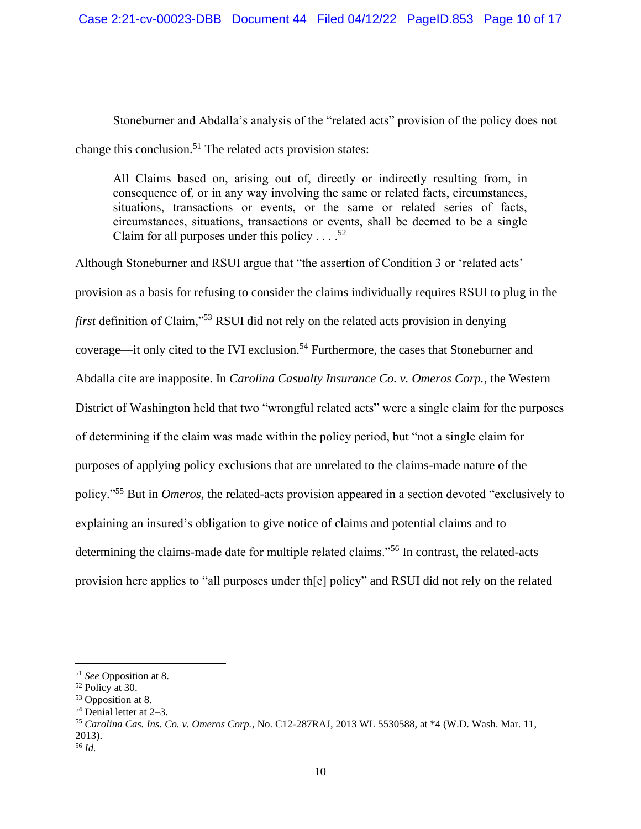Stoneburner and Abdalla's analysis of the "related acts" provision of the policy does not change this conclusion.<sup>51</sup> The related acts provision states:

All Claims based on, arising out of, directly or indirectly resulting from, in consequence of, or in any way involving the same or related facts, circumstances, situations, transactions or events, or the same or related series of facts, circumstances, situations, transactions or events, shall be deemed to be a single Claim for all purposes under this policy . . .  $52$ 

Although Stoneburner and RSUI argue that "the assertion of Condition 3 or 'related acts' provision as a basis for refusing to consider the claims individually requires RSUI to plug in the *first* definition of Claim,"<sup>53</sup> RSUI did not rely on the related acts provision in denying coverage—it only cited to the IVI exclusion.<sup>54</sup> Furthermore, the cases that Stoneburner and Abdalla cite are inapposite. In *Carolina Casualty Insurance Co. v. Omeros Corp.*, the Western District of Washington held that two "wrongful related acts" were a single claim for the purposes of determining if the claim was made within the policy period, but "not a single claim for purposes of applying policy exclusions that are unrelated to the claims-made nature of the policy."<sup>55</sup> But in *Omeros*, the related-acts provision appeared in a section devoted "exclusively to explaining an insured's obligation to give notice of claims and potential claims and to determining the claims-made date for multiple related claims."<sup>56</sup> In contrast, the related-acts provision here applies to "all purposes under th[e] policy" and RSUI did not rely on the related

<sup>51</sup> *See* Opposition at 8.

<sup>52</sup> Policy at 30.

<sup>53</sup> Opposition at 8.

 $54$  Denial letter at 2–3.

<sup>55</sup> *Carolina Cas. Ins. Co. v. Omeros Corp.*, No. C12-287RAJ, 2013 WL 5530588, at \*4 (W.D. Wash. Mar. 11, 2013).

<sup>56</sup> *Id.*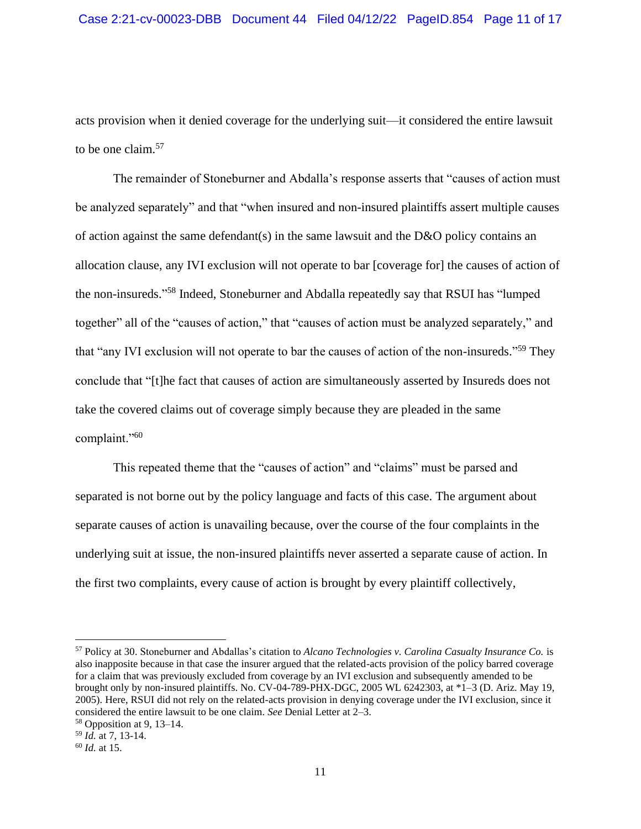acts provision when it denied coverage for the underlying suit—it considered the entire lawsuit to be one claim. 57

The remainder of Stoneburner and Abdalla's response asserts that "causes of action must be analyzed separately" and that "when insured and non-insured plaintiffs assert multiple causes of action against the same defendant(s) in the same lawsuit and the D&O policy contains an allocation clause, any IVI exclusion will not operate to bar [coverage for] the causes of action of the non-insureds."<sup>58</sup> Indeed, Stoneburner and Abdalla repeatedly say that RSUI has "lumped together" all of the "causes of action," that "causes of action must be analyzed separately," and that "any IVI exclusion will not operate to bar the causes of action of the non-insureds."<sup>59</sup> They conclude that "[t]he fact that causes of action are simultaneously asserted by Insureds does not take the covered claims out of coverage simply because they are pleaded in the same complaint."<sup>60</sup>

This repeated theme that the "causes of action" and "claims" must be parsed and separated is not borne out by the policy language and facts of this case. The argument about separate causes of action is unavailing because, over the course of the four complaints in the underlying suit at issue, the non-insured plaintiffs never asserted a separate cause of action. In the first two complaints, every cause of action is brought by every plaintiff collectively,

<sup>57</sup> Policy at 30. Stoneburner and Abdallas's citation to *Alcano Technologies v. Carolina Casualty Insurance Co.* is also inapposite because in that case the insurer argued that the related-acts provision of the policy barred coverage for a claim that was previously excluded from coverage by an IVI exclusion and subsequently amended to be brought only by non-insured plaintiffs. No. CV-04-789-PHX-DGC, 2005 WL 6242303, at \*1–3 (D. Ariz. May 19, 2005). Here, RSUI did not rely on the related-acts provision in denying coverage under the IVI exclusion, since it considered the entire lawsuit to be one claim. *See* Denial Letter at 2–3.

<sup>58</sup> Opposition at 9, 13–14.

<sup>59</sup> *Id.* at 7, 13-14.

<sup>60</sup> *Id.* at 15.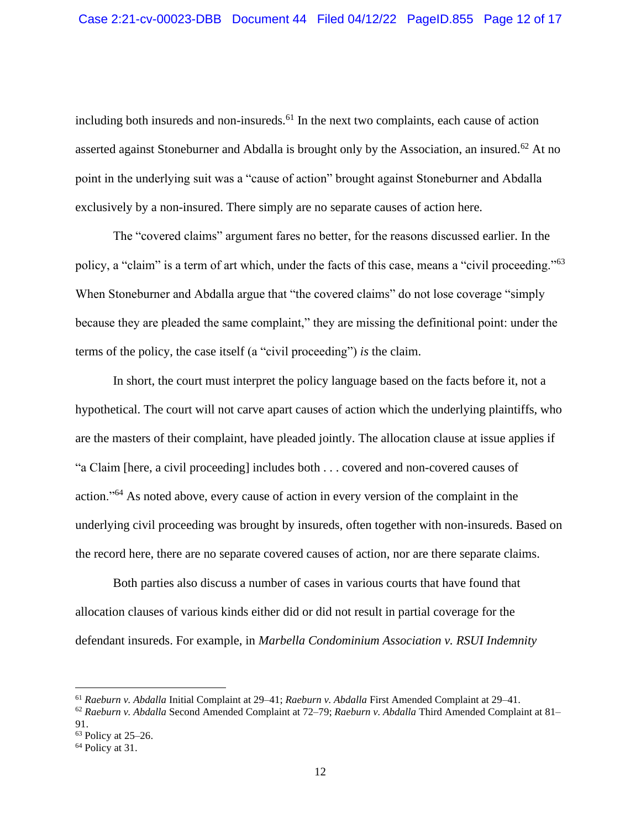including both insureds and non-insureds. <sup>61</sup> In the next two complaints, each cause of action asserted against Stoneburner and Abdalla is brought only by the Association, an insured.<sup>62</sup> At no point in the underlying suit was a "cause of action" brought against Stoneburner and Abdalla exclusively by a non-insured. There simply are no separate causes of action here.

The "covered claims" argument fares no better, for the reasons discussed earlier. In the policy, a "claim" is a term of art which, under the facts of this case, means a "civil proceeding."<sup>63</sup> When Stoneburner and Abdalla argue that "the covered claims" do not lose coverage "simply because they are pleaded the same complaint," they are missing the definitional point: under the terms of the policy, the case itself (a "civil proceeding") *is* the claim.

In short, the court must interpret the policy language based on the facts before it, not a hypothetical. The court will not carve apart causes of action which the underlying plaintiffs, who are the masters of their complaint, have pleaded jointly. The allocation clause at issue applies if "a Claim [here, a civil proceeding] includes both . . . covered and non-covered causes of action."<sup>64</sup> As noted above, every cause of action in every version of the complaint in the underlying civil proceeding was brought by insureds, often together with non-insureds. Based on the record here, there are no separate covered causes of action, nor are there separate claims.

Both parties also discuss a number of cases in various courts that have found that allocation clauses of various kinds either did or did not result in partial coverage for the defendant insureds. For example, in *Marbella Condominium Association v. RSUI Indemnity* 

<sup>61</sup> *Raeburn v. Abdalla* Initial Complaint at 29–41; *Raeburn v. Abdalla* First Amended Complaint at 29–41.

<sup>62</sup> *Raeburn v. Abdalla* Second Amended Complaint at 72–79; *Raeburn v. Abdalla* Third Amended Complaint at 81– 91.

<sup>63</sup> Policy at 25–26.

<sup>64</sup> Policy at 31.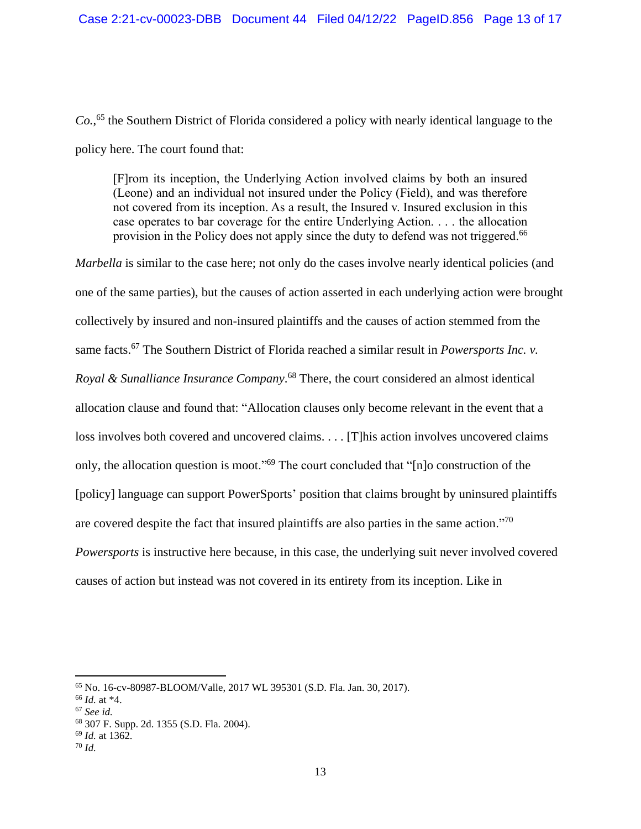*Co.*, <sup>65</sup> the Southern District of Florida considered a policy with nearly identical language to the policy here. The court found that:

[F]rom its inception, the Underlying Action involved claims by both an insured (Leone) and an individual not insured under the Policy (Field), and was therefore not covered from its inception. As a result, the Insured v. Insured exclusion in this case operates to bar coverage for the entire Underlying Action. . . . the allocation provision in the Policy does not apply since the duty to defend was not triggered.<sup>66</sup>

*Marbella* is similar to the case here; not only do the cases involve nearly identical policies (and one of the same parties), but the causes of action asserted in each underlying action were brought collectively by insured and non-insured plaintiffs and the causes of action stemmed from the same facts.<sup>67</sup> The Southern District of Florida reached a similar result in *Powersports Inc. v. Royal & Sunalliance Insurance Company*. <sup>68</sup> There, the court considered an almost identical allocation clause and found that: "Allocation clauses only become relevant in the event that a loss involves both covered and uncovered claims. . . . [T]his action involves uncovered claims only, the allocation question is moot."<sup>69</sup> The court concluded that "[n]o construction of the [policy] language can support PowerSports' position that claims brought by uninsured plaintiffs are covered despite the fact that insured plaintiffs are also parties in the same action."<sup>70</sup> *Powersports* is instructive here because, in this case, the underlying suit never involved covered causes of action but instead was not covered in its entirety from its inception. Like in

<sup>65</sup> No. 16-cv-80987-BLOOM/Valle, 2017 WL 395301 (S.D. Fla. Jan. 30, 2017).

<sup>66</sup> *Id.* at \*4.

<sup>67</sup> *See id.*

<sup>68</sup> 307 F. Supp. 2d. 1355 (S.D. Fla. 2004).

<sup>69</sup> *Id.* at 1362.

<sup>70</sup> *Id.*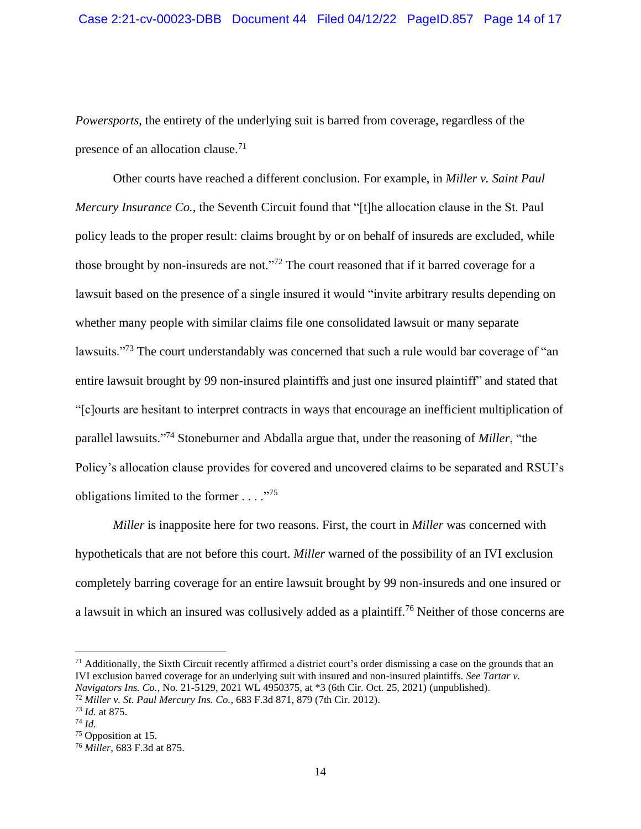*Powersports*, the entirety of the underlying suit is barred from coverage, regardless of the presence of an allocation clause.<sup>71</sup>

Other courts have reached a different conclusion. For example, in *Miller v. Saint Paul Mercury Insurance Co.*, the Seventh Circuit found that "[t]he allocation clause in the St. Paul policy leads to the proper result: claims brought by or on behalf of insureds are excluded, while those brought by non-insureds are not."<sup>72</sup> The court reasoned that if it barred coverage for a lawsuit based on the presence of a single insured it would "invite arbitrary results depending on whether many people with similar claims file one consolidated lawsuit or many separate lawsuits."<sup>73</sup> The court understandably was concerned that such a rule would bar coverage of "an entire lawsuit brought by 99 non-insured plaintiffs and just one insured plaintiff" and stated that "[c]ourts are hesitant to interpret contracts in ways that encourage an inefficient multiplication of parallel lawsuits." <sup>74</sup> Stoneburner and Abdalla argue that, under the reasoning of *Miller*, "the Policy's allocation clause provides for covered and uncovered claims to be separated and RSUI's obligations limited to the former  $\ldots$ ."<sup>75</sup>

*Miller* is inapposite here for two reasons. First, the court in *Miller* was concerned with hypotheticals that are not before this court. *Miller* warned of the possibility of an IVI exclusion completely barring coverage for an entire lawsuit brought by 99 non-insureds and one insured or a lawsuit in which an insured was collusively added as a plaintiff.<sup>76</sup> Neither of those concerns are

 $71$  Additionally, the Sixth Circuit recently affirmed a district court's order dismissing a case on the grounds that an IVI exclusion barred coverage for an underlying suit with insured and non-insured plaintiffs. *See Tartar v. Navigators Ins. Co.*, No. 21-5129, 2021 WL 4950375, at \*3 (6th Cir. Oct. 25, 2021) (unpublished).

<sup>72</sup> *Miller v. St. Paul Mercury Ins. Co.*, 683 F.3d 871, 879 (7th Cir. 2012).

<sup>73</sup> *Id.* at 875.

<sup>74</sup> *Id.*

<sup>75</sup> Opposition at 15.

<sup>76</sup> *Miller*, 683 F.3d at 875.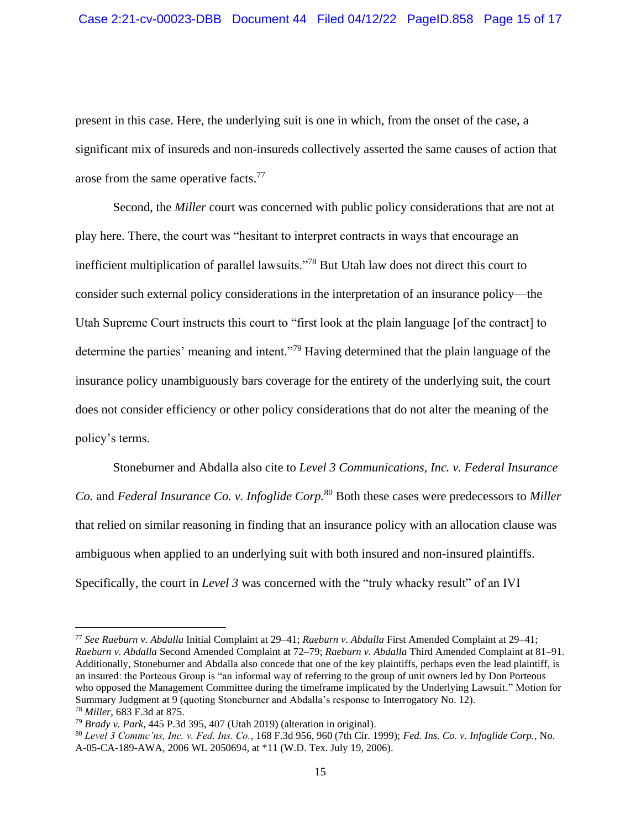present in this case. Here, the underlying suit is one in which, from the onset of the case, a significant mix of insureds and non-insureds collectively asserted the same causes of action that arose from the same operative facts.<sup>77</sup>

Second, the *Miller* court was concerned with public policy considerations that are not at play here. There, the court was "hesitant to interpret contracts in ways that encourage an inefficient multiplication of parallel lawsuits."<sup>78</sup> But Utah law does not direct this court to consider such external policy considerations in the interpretation of an insurance policy—the Utah Supreme Court instructs this court to "first look at the plain language [of the contract] to determine the parties' meaning and intent."<sup>79</sup> Having determined that the plain language of the insurance policy unambiguously bars coverage for the entirety of the underlying suit, the court does not consider efficiency or other policy considerations that do not alter the meaning of the policy's terms.

Stoneburner and Abdalla also cite to *Level 3 Communications, Inc. v. Federal Insurance Co.* and *Federal Insurance Co. v. Infoglide Corp.*<sup>80</sup> Both these cases were predecessors to *Miller* that relied on similar reasoning in finding that an insurance policy with an allocation clause was ambiguous when applied to an underlying suit with both insured and non-insured plaintiffs. Specifically, the court in *Level 3* was concerned with the "truly whacky result" of an IVI

<sup>77</sup> *See Raeburn v. Abdalla* Initial Complaint at 29–41; *Raeburn v. Abdalla* First Amended Complaint at 29–41; *Raeburn v. Abdalla* Second Amended Complaint at 72–79; *Raeburn v. Abdalla* Third Amended Complaint at 81–91. Additionally, Stoneburner and Abdalla also concede that one of the key plaintiffs, perhaps even the lead plaintiff, is an insured: the Porteous Group is "an informal way of referring to the group of unit owners led by Don Porteous who opposed the Management Committee during the timeframe implicated by the Underlying Lawsuit." Motion for Summary Judgment at 9 (quoting Stoneburner and Abdalla's response to Interrogatory No. 12). <sup>78</sup> *Miller*, 683 F.3d at 875.

<sup>79</sup> *Brady v. Park*, 445 P.3d 395, 407 (Utah 2019) (alteration in original).

<sup>80</sup> *Level 3 Commc'ns, Inc. v. Fed. Ins. Co.*, 168 F.3d 956, 960 (7th Cir. 1999); *Fed. Ins. Co. v. Infoglide Corp.*, No. A-05-CA-189-AWA, 2006 WL 2050694, at \*11 (W.D. Tex. July 19, 2006).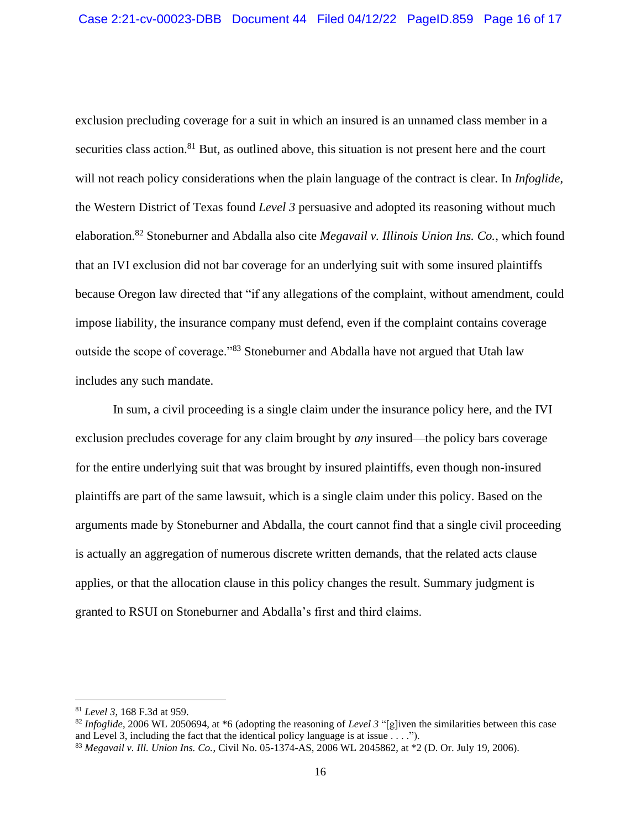exclusion precluding coverage for a suit in which an insured is an unnamed class member in a securities class action.<sup>81</sup> But, as outlined above, this situation is not present here and the court will not reach policy considerations when the plain language of the contract is clear. In *Infoglide*, the Western District of Texas found *Level 3* persuasive and adopted its reasoning without much elaboration. <sup>82</sup> Stoneburner and Abdalla also cite *Megavail v. Illinois Union Ins. Co.*, which found that an IVI exclusion did not bar coverage for an underlying suit with some insured plaintiffs because Oregon law directed that "if any allegations of the complaint, without amendment, could impose liability, the insurance company must defend, even if the complaint contains coverage outside the scope of coverage."<sup>83</sup> Stoneburner and Abdalla have not argued that Utah law includes any such mandate.

In sum, a civil proceeding is a single claim under the insurance policy here, and the IVI exclusion precludes coverage for any claim brought by *any* insured—the policy bars coverage for the entire underlying suit that was brought by insured plaintiffs, even though non-insured plaintiffs are part of the same lawsuit, which is a single claim under this policy. Based on the arguments made by Stoneburner and Abdalla, the court cannot find that a single civil proceeding is actually an aggregation of numerous discrete written demands, that the related acts clause applies, or that the allocation clause in this policy changes the result. Summary judgment is granted to RSUI on Stoneburner and Abdalla's first and third claims.

<sup>81</sup> *Level 3*, 168 F.3d at 959.

<sup>82</sup> *Infoglide*, 2006 WL 2050694, at \*6 (adopting the reasoning of *Level 3* "[g]iven the similarities between this case and Level 3, including the fact that the identical policy language is at issue . . . .").

<sup>83</sup> *Megavail v. Ill. Union Ins. Co.*, Civil No. 05-1374-AS, 2006 WL 2045862, at \*2 (D. Or. July 19, 2006).